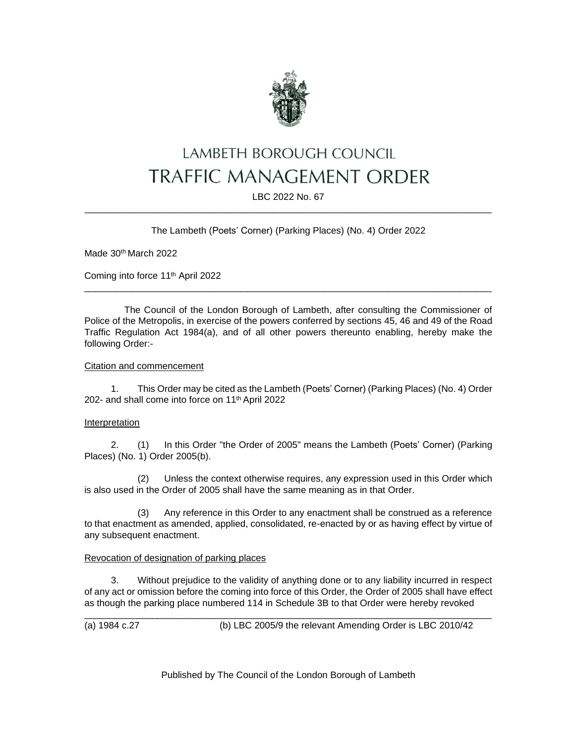

# LAMBETH BOROUGH COUNCIL **TRAFFIC MANAGEMENT ORDER**

LBC 2022 No. 67 \_\_\_\_\_\_\_\_\_\_\_\_\_\_\_\_\_\_\_\_\_\_\_\_\_\_\_\_\_\_\_\_\_\_\_\_\_\_\_\_\_\_\_\_\_\_\_\_\_\_\_\_\_\_\_\_\_\_\_\_\_\_\_\_\_\_\_\_\_\_\_\_\_\_\_\_\_\_

## The Lambeth (Poets' Corner) (Parking Places) (No. 4) Order 2022

Made 30<sup>th</sup> March 2022

Coming into force 11th April 2022

The Council of the London Borough of Lambeth, after consulting the Commissioner of Police of the Metropolis, in exercise of the powers conferred by sections 45, 46 and 49 of the Road Traffic Regulation Act 1984(a), and of all other powers thereunto enabling, hereby make the following Order:-

\_\_\_\_\_\_\_\_\_\_\_\_\_\_\_\_\_\_\_\_\_\_\_\_\_\_\_\_\_\_\_\_\_\_\_\_\_\_\_\_\_\_\_\_\_\_\_\_\_\_\_\_\_\_\_\_\_\_\_\_\_\_\_\_\_\_\_\_\_\_\_\_\_\_\_\_\_\_

## Citation and commencement

1. This Order may be cited as the Lambeth (Poets' Corner) (Parking Places) (No. 4) Order 202- and shall come into force on 11th April 2022

## Interpretation

2. (1) In this Order "the Order of 2005" means the Lambeth (Poets' Corner) (Parking Places) (No. 1) Order 2005(b).

(2) Unless the context otherwise requires, any expression used in this Order which is also used in the Order of 2005 shall have the same meaning as in that Order.

(3) Any reference in this Order to any enactment shall be construed as a reference to that enactment as amended, applied, consolidated, re-enacted by or as having effect by virtue of any subsequent enactment.

## Revocation of designation of parking places

3. Without prejudice to the validity of anything done or to any liability incurred in respect of any act or omission before the coming into force of this Order, the Order of 2005 shall have effect as though the parking place numbered 114 in Schedule 3B to that Order were hereby revoked

\_\_\_\_\_\_\_\_\_\_\_\_\_\_\_\_\_\_\_\_\_\_\_\_\_\_\_\_\_\_\_\_\_\_\_\_\_\_\_\_\_\_\_\_\_\_\_\_\_\_\_\_\_\_\_\_\_\_\_\_\_\_\_\_\_\_\_\_\_\_\_\_\_\_\_\_\_\_ (a) 1984 c.27 (b) LBC 2005/9 the relevant Amending Order is LBC 2010/42

Published by The Council of the London Borough of Lambeth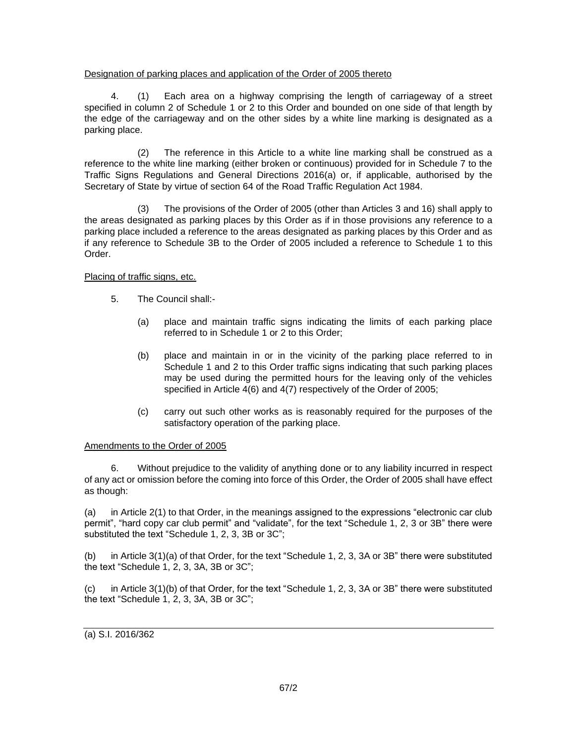## Designation of parking places and application of the Order of 2005 thereto

4. (1) Each area on a highway comprising the length of carriageway of a street specified in column 2 of Schedule 1 or 2 to this Order and bounded on one side of that length by the edge of the carriageway and on the other sides by a white line marking is designated as a parking place.

(2) The reference in this Article to a white line marking shall be construed as a reference to the white line marking (either broken or continuous) provided for in Schedule 7 to the Traffic Signs Regulations and General Directions 2016(a) or, if applicable, authorised by the Secretary of State by virtue of section 64 of the Road Traffic Regulation Act 1984.

(3) The provisions of the Order of 2005 (other than Articles 3 and 16) shall apply to the areas designated as parking places by this Order as if in those provisions any reference to a parking place included a reference to the areas designated as parking places by this Order and as if any reference to Schedule 3B to the Order of 2005 included a reference to Schedule 1 to this Order.

## Placing of traffic signs, etc.

- 5. The Council shall:-
	- (a) place and maintain traffic signs indicating the limits of each parking place referred to in Schedule 1 or 2 to this Order;
	- (b) place and maintain in or in the vicinity of the parking place referred to in Schedule 1 and 2 to this Order traffic signs indicating that such parking places may be used during the permitted hours for the leaving only of the vehicles specified in Article 4(6) and 4(7) respectively of the Order of 2005;
	- (c) carry out such other works as is reasonably required for the purposes of the satisfactory operation of the parking place.

## Amendments to the Order of 2005

6. Without prejudice to the validity of anything done or to any liability incurred in respect of any act or omission before the coming into force of this Order, the Order of 2005 shall have effect as though:

(a) in Article 2(1) to that Order, in the meanings assigned to the expressions "electronic car club permit", "hard copy car club permit" and "validate", for the text "Schedule 1, 2, 3 or 3B" there were substituted the text "Schedule 1, 2, 3, 3B or 3C";

(b) in Article 3(1)(a) of that Order, for the text "Schedule 1, 2, 3, 3A or 3B" there were substituted the text "Schedule 1, 2, 3, 3A, 3B or 3C";

(c) in Article 3(1)(b) of that Order, for the text "Schedule 1, 2, 3, 3A or 3B" there were substituted the text "Schedule  $1, 2, 3, 3A, 3B$  or  $3C$ ";

(a) S.I. 2016/362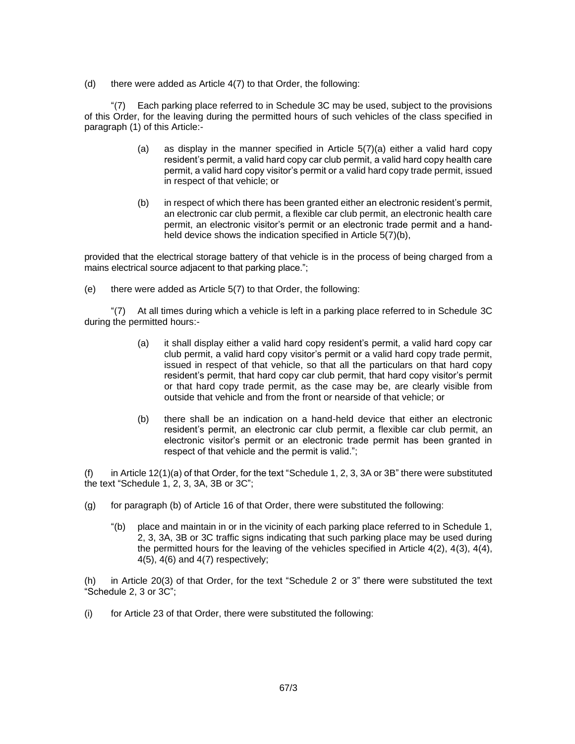(d) there were added as Article  $4(7)$  to that Order, the following:

"(7) Each parking place referred to in Schedule 3C may be used, subject to the provisions of this Order, for the leaving during the permitted hours of such vehicles of the class specified in paragraph (1) of this Article:-

- (a) as display in the manner specified in Article  $5(7)(a)$  either a valid hard copy resident's permit, a valid hard copy car club permit, a valid hard copy health care permit, a valid hard copy visitor's permit or a valid hard copy trade permit, issued in respect of that vehicle; or
- (b) in respect of which there has been granted either an electronic resident's permit, an electronic car club permit, a flexible car club permit, an electronic health care permit, an electronic visitor's permit or an electronic trade permit and a handheld device shows the indication specified in Article 5(7)(b),

provided that the electrical storage battery of that vehicle is in the process of being charged from a mains electrical source adjacent to that parking place.";

(e) there were added as Article 5(7) to that Order, the following:

"(7) At all times during which a vehicle is left in a parking place referred to in Schedule 3C during the permitted hours:-

- (a) it shall display either a valid hard copy resident's permit, a valid hard copy car club permit, a valid hard copy visitor's permit or a valid hard copy trade permit, issued in respect of that vehicle, so that all the particulars on that hard copy resident's permit, that hard copy car club permit, that hard copy visitor's permit or that hard copy trade permit, as the case may be, are clearly visible from outside that vehicle and from the front or nearside of that vehicle; or
- (b) there shall be an indication on a hand-held device that either an electronic resident's permit, an electronic car club permit, a flexible car club permit, an electronic visitor's permit or an electronic trade permit has been granted in respect of that vehicle and the permit is valid.";

(f) in Article 12(1)(a) of that Order, for the text "Schedule 1, 2, 3, 3A or 3B" there were substituted the text "Schedule 1, 2, 3, 3A, 3B or 3C";

- (g) for paragraph (b) of Article 16 of that Order, there were substituted the following:
	- "(b) place and maintain in or in the vicinity of each parking place referred to in Schedule 1, 2, 3, 3A, 3B or 3C traffic signs indicating that such parking place may be used during the permitted hours for the leaving of the vehicles specified in Article 4(2), 4(3), 4(4),  $4(5)$ ,  $4(6)$  and  $4(7)$  respectively;

(h) in Article 20(3) of that Order, for the text "Schedule 2 or 3" there were substituted the text "Schedule 2, 3 or 3C";

(i) for Article 23 of that Order, there were substituted the following: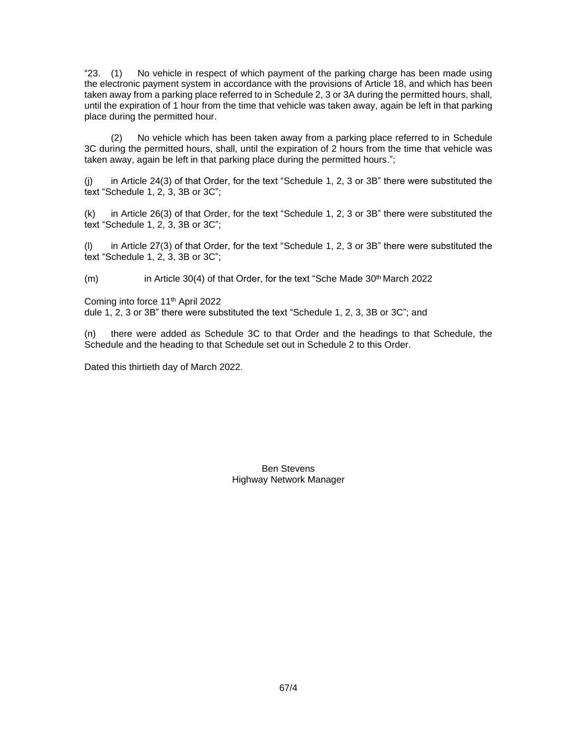"23. (1) No vehicle in respect of which payment of the parking charge has been made using the electronic payment system in accordance with the provisions of Article 18, and which has been taken away from a parking place referred to in Schedule 2, 3 or 3A during the permitted hours, shall, until the expiration of 1 hour from the time that vehicle was taken away, again be left in that parking place during the permitted hour.

(2) No vehicle which has been taken away from a parking place referred to in Schedule 3C during the permitted hours, shall, until the expiration of 2 hours from the time that vehicle was taken away, again be left in that parking place during the permitted hours.";

(j) in Article 24(3) of that Order, for the text "Schedule 1, 2, 3 or 3B" there were substituted the text "Schedule 1, 2, 3, 3B or 3C";

(k) in Article 26(3) of that Order, for the text "Schedule 1, 2, 3 or 3B" there were substituted the text "Schedule 1, 2, 3, 3B or 3C";

(l) in Article 27(3) of that Order, for the text "Schedule 1, 2, 3 or 3B" there were substituted the text "Schedule 1, 2, 3, 3B or 3C";

(m) in Article 30(4) of that Order, for the text "Sche Made 30<sup>th</sup> March 2022

Coming into force 11th April 2022 dule 1, 2, 3 or 3B" there were substituted the text "Schedule 1, 2, 3, 3B or 3C"; and

(n) there were added as Schedule 3C to that Order and the headings to that Schedule, the Schedule and the heading to that Schedule set out in Schedule 2 to this Order.

Dated this thirtieth day of March 2022.

Ben Stevens Highway Network Manager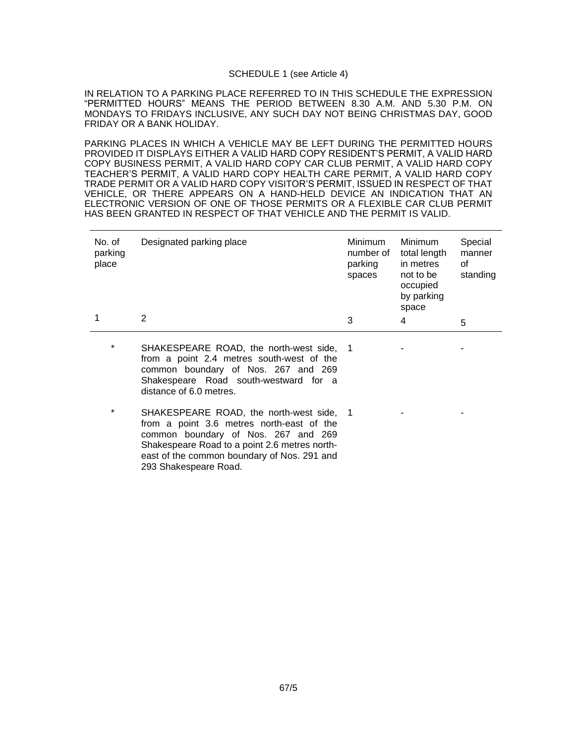#### SCHEDULE 1 (see Article 4)

IN RELATION TO A PARKING PLACE REFERRED TO IN THIS SCHEDULE THE EXPRESSION "PERMITTED HOURS" MEANS THE PERIOD BETWEEN 8.30 A.M. AND 5.30 P.M. ON MONDAYS TO FRIDAYS INCLUSIVE, ANY SUCH DAY NOT BEING CHRISTMAS DAY, GOOD FRIDAY OR A BANK HOLIDAY.

PARKING PLACES IN WHICH A VEHICLE MAY BE LEFT DURING THE PERMITTED HOURS PROVIDED IT DISPLAYS EITHER A VALID HARD COPY RESIDENT'S PERMIT, A VALID HARD COPY BUSINESS PERMIT, A VALID HARD COPY CAR CLUB PERMIT, A VALID HARD COPY TEACHER'S PERMIT, A VALID HARD COPY HEALTH CARE PERMIT, A VALID HARD COPY TRADE PERMIT OR A VALID HARD COPY VISITOR'S PERMIT, ISSUED IN RESPECT OF THAT VEHICLE, OR THERE APPEARS ON A HAND-HELD DEVICE AN INDICATION THAT AN ELECTRONIC VERSION OF ONE OF THOSE PERMITS OR A FLEXIBLE CAR CLUB PERMIT HAS BEEN GRANTED IN RESPECT OF THAT VEHICLE AND THE PERMIT IS VALID.

| No. of<br>parking<br>place | Designated parking place                                                                                                                                              | Minimum<br>number of<br>parking<br>spaces | Minimum<br>total length<br>in metres<br>not to be<br>occupied<br>by parking<br>space | Special<br>manner<br>οf<br>standing |
|----------------------------|-----------------------------------------------------------------------------------------------------------------------------------------------------------------------|-------------------------------------------|--------------------------------------------------------------------------------------|-------------------------------------|
|                            | 2                                                                                                                                                                     | 3                                         | 4                                                                                    | 5                                   |
| *                          | SHAKESPEARE ROAD, the north-west side, 1<br>from a point 2.4 metres south-west of the<br>common boundary of Nos. 267 and 269<br>Shakespeare Road south-westward for a |                                           |                                                                                      |                                     |

SHAKESPEARE ROAD, the north-west side, 1 from a point 3.6 metres north-east of the common boundary of Nos. 267 and 269 Shakespeare Road to a point 2.6 metres northeast of the common boundary of Nos. 291 and 1 -  $-$  -  $-$ 

distance of 6.0 metres.

293 Shakespeare Road.